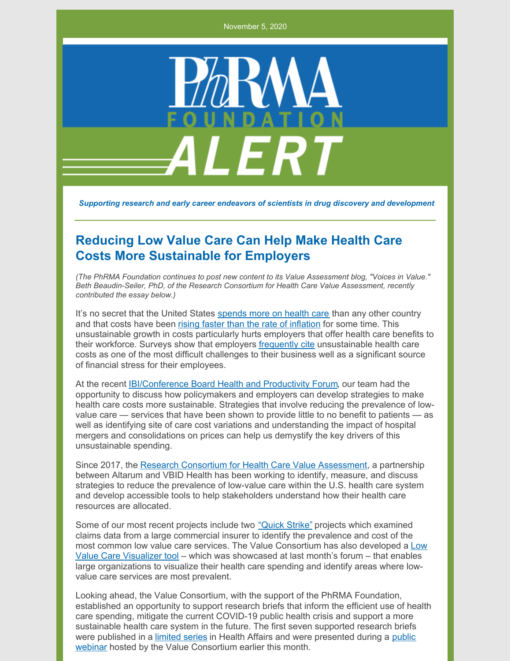November 5, 2020



*Supporting research and early career endeavors of scientists in drug discovery and development*

## **Reducing Low Value Care Can Help Make Health Care Costs More Sustainable for Employers**

*(The PhRMA Foundation continues to post new content to its Value Assessment blog, "Voices in Value." Beth Beaudin-Seiler, PhD, of the Research Consortium for Health Care Value Assessment, recently contributed the essay below.)*

It's no secret that the United States [spends](https://www.commonwealthfund.org/publications/issue-briefs/2020/jan/us-health-care-global-perspective-2019) more on health care than any other country and that costs have been rising faster than the rate of [inflation](https://www.healthsystemtracker.org/chart-collection/u-s-spending-healthcare-changed-time/#item-nhe-trends_year-over-year-growth-in-health-services-spending-by-quarter-2010-2019) for some time. This unsustainable growth in costs particularly hurts employers that offer health care benefits to their workforce. Surveys show that employers [frequently](https://www.ajmc.com/view/survey-finds-93-of-employers-say-curbing-healthcare-costs-is-top-priority-) cite unsustainable health care costs as one of the most difficult challenges to their business well as a significant source of financial stress for their employees.

At the recent [IBI/Conference](https://www.ibiweb.org/ibi-conference-board-health-and-productivity-) Board Health and Productivity Forum, our team had the opportunity to discuss how policymakers and employers can develop strategies to make health care costs more sustainable. Strategies that involve reducing the prevalence of lowvalue care — services that have been shown to provide little to no benefit to patients — as well as identifying site of care cost variations and understanding the impact of hospital mergers and consolidations on prices can help us demystify the key drivers of this unsustainable spending.

Since 2017, the Research Consortium for Health Care Value [Assessment](https://www.hcvalueassessment.org/), a partnership between Altarum and VBID Health has been working to identify, measure, and discuss strategies to reduce the prevalence of low-value care within the U.S. health care system and develop accessible tools to help stakeholders understand how their health care resources are allocated.

Some of our most recent projects include two ["Quick](https://www.hcvalueassessment.org/application/files/5915/5853/6278/Research_Consortium_Research_Brief_No._1.pdf) Strike" projects which examined claims data from a large commercial insurer to identify the prevalence and cost of the most common low value care services. The Value [Consortium](https://www.hcvalueassessment.org/resource-tool.php) has also developed a Low Value Care Visualizer tool – which was showcased at last month's forum – that enables large organizations to visualize their health care spending and identify areas where lowvalue care services are most prevalent.

Looking ahead, the Value Consortium, with the support of the PhRMA Foundation, established an opportunity to support research briefs that inform the efficient use of health care spending, mitigate the current COVID-19 public health crisis and support a more sustainable health care system in the future. The first seven supported research briefs were published in a [limited](https://www.healthaffairs.org/do/10.1377/hblog20200930.623602/full/) series in Health Affairs and were presented during a public webinar hosted by the Value [Consortium](https://mailchi.mp/3dc053e1bb5a/voices-in-health-care-value-1920910?e=6ad8d4fef5) earlier this month.